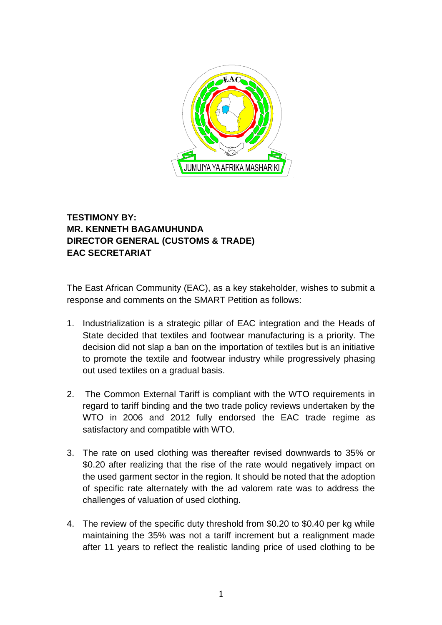

## **TESTIMONY BY: MR. KENNETH BAGAMUHUNDA DIRECTOR GENERAL (CUSTOMS & TRADE) EAC SECRETARIAT**

The East African Community (EAC), as a key stakeholder, wishes to submit a response and comments on the SMART Petition as follows:

- 1. Industrialization is a strategic pillar of EAC integration and the Heads of State decided that textiles and footwear manufacturing is a priority. The decision did not slap a ban on the importation of textiles but is an initiative to promote the textile and footwear industry while progressively phasing out used textiles on a gradual basis.
- 2. The Common External Tariff is compliant with the WTO requirements in regard to tariff binding and the two trade policy reviews undertaken by the WTO in 2006 and 2012 fully endorsed the EAC trade regime as satisfactory and compatible with WTO.
- 3. The rate on used clothing was thereafter revised downwards to 35% or \$0.20 after realizing that the rise of the rate would negatively impact on the used garment sector in the region. It should be noted that the adoption of specific rate alternately with the ad valorem rate was to address the challenges of valuation of used clothing.
- 4. The review of the specific duty threshold from \$0.20 to \$0.40 per kg while maintaining the 35% was not a tariff increment but a realignment made after 11 years to reflect the realistic landing price of used clothing to be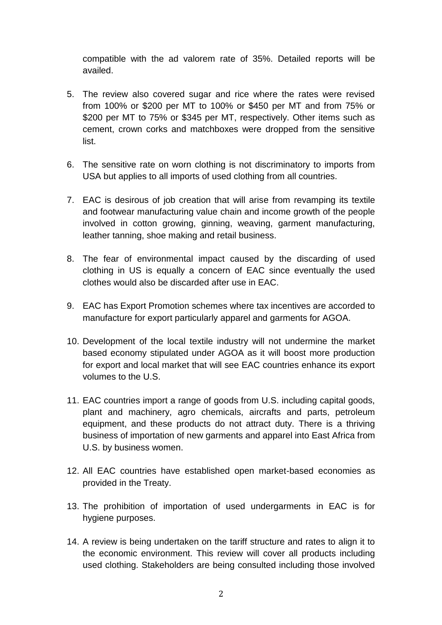compatible with the ad valorem rate of 35%. Detailed reports will be availed.

- 5. The review also covered sugar and rice where the rates were revised from 100% or \$200 per MT to 100% or \$450 per MT and from 75% or \$200 per MT to 75% or \$345 per MT, respectively. Other items such as cement, crown corks and matchboxes were dropped from the sensitive list.
- 6. The sensitive rate on worn clothing is not discriminatory to imports from USA but applies to all imports of used clothing from all countries.
- 7. EAC is desirous of job creation that will arise from revamping its textile and footwear manufacturing value chain and income growth of the people involved in cotton growing, ginning, weaving, garment manufacturing, leather tanning, shoe making and retail business.
- 8. The fear of environmental impact caused by the discarding of used clothing in US is equally a concern of EAC since eventually the used clothes would also be discarded after use in EAC.
- 9. EAC has Export Promotion schemes where tax incentives are accorded to manufacture for export particularly apparel and garments for AGOA.
- 10. Development of the local textile industry will not undermine the market based economy stipulated under AGOA as it will boost more production for export and local market that will see EAC countries enhance its export volumes to the U.S.
- 11. EAC countries import a range of goods from U.S. including capital goods, plant and machinery, agro chemicals, aircrafts and parts, petroleum equipment, and these products do not attract duty. There is a thriving business of importation of new garments and apparel into East Africa from U.S. by business women.
- 12. All EAC countries have established open market-based economies as provided in the Treaty.
- 13. The prohibition of importation of used undergarments in EAC is for hygiene purposes.
- 14. A review is being undertaken on the tariff structure and rates to align it to the economic environment. This review will cover all products including used clothing. Stakeholders are being consulted including those involved